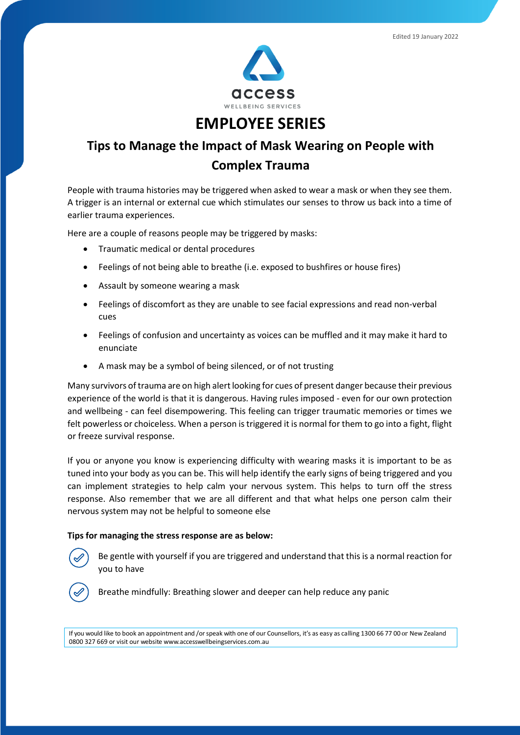

**EMPLOYEE SERIES**

## **Tips to Manage the Impact of Mask Wearing on People with Complex Trauma**

People with trauma histories may be triggered when asked to wear a mask or when they see them. A trigger is an internal or external cue which stimulates our senses to throw us back into a time of earlier trauma experiences.

Here are a couple of reasons people may be triggered by masks:

- Traumatic medical or dental procedures
- Feelings of not being able to breathe (i.e. exposed to bushfires or house fires)
- Assault by someone wearing a mask
- Feelings of discomfort as they are unable to see facial expressions and read non-verbal cues
- Feelings of confusion and uncertainty as voices can be muffled and it may make it hard to enunciate
- A mask may be a symbol of being silenced, or of not trusting

Many survivors of trauma are on high alert looking for cues of present danger because their previous experience of the world is that it is dangerous. Having rules imposed - even for our own protection and wellbeing - can feel disempowering. This feeling can trigger traumatic memories or times we felt powerless or choiceless. When a person is triggered it is normal for them to go into a fight, flight or freeze survival response.

If you or anyone you know is experiencing difficulty with wearing masks it is important to be as tuned into your body as you can be. This will help identify the early signs of being triggered and you can implement strategies to help calm your nervous system. This helps to turn off the stress response. Also remember that we are all different and that what helps one person calm their nervous system may not be helpful to someone else

## **Tips for managing the stress response are as below:**



Be gentle with yourself if you are triggered and understand that this is a normal reaction for you to have



Breathe mindfully: Breathing slower and deeper can help reduce any panic

If you would like to book an appointment and / or speak with one of our Counsellors, it's as easy as calling 1300 66 77 00 or New Zealand 0800 327 669 or visit our websi[te www.accesswellbeingservices.com.au](http://www.accesswellbeingservices.com.au/)